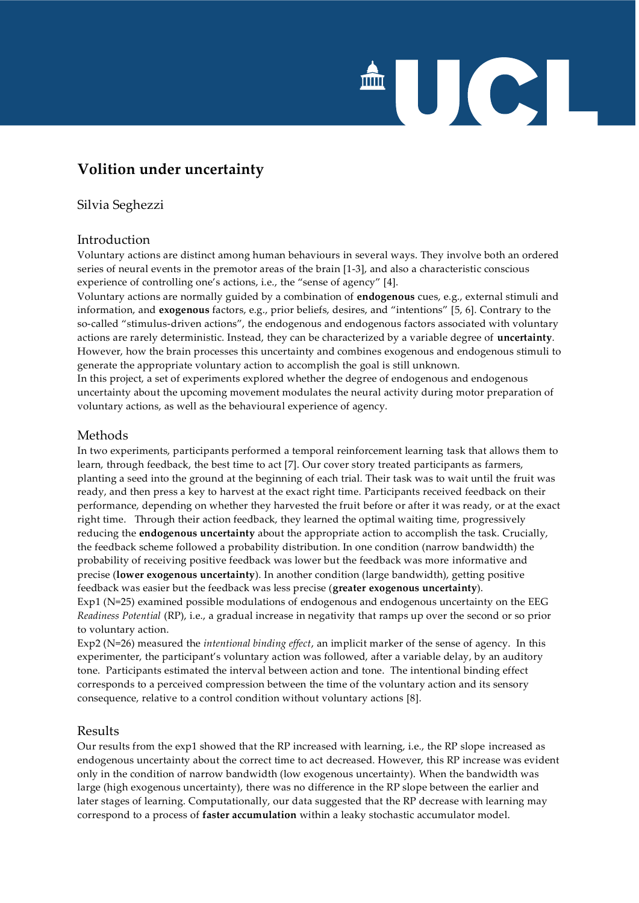# UCL

# **Volition under uncertainty**

# Silvia Seghezzi

# Introduction

Voluntary actions are distinct among human behaviours in several ways. They involve both an ordered series of neural events in the premotor areas of the brain [1-3], and also a characteristic conscious experience of controlling one's actions, i.e., the "sense of agency" [4].

Voluntary actions are normally guided by a combination of **endogenous** cues, e.g., external stimuli and information, and **exogenous** factors, e.g., prior beliefs, desires, and "intentions" [5, 6]. Contrary to the so-called "stimulus-driven actions", the endogenous and endogenous factors associated with voluntary actions are rarely deterministic. Instead, they can be characterized by a variable degree of **uncertainty**. However, how the brain processes this uncertainty and combines exogenous and endogenous stimuli to generate the appropriate voluntary action to accomplish the goal is still unknown. In this project, a set of experiments explored whether the degree of endogenous and endogenous uncertainty about the upcoming movement modulates the neural activity during motor preparation of voluntary actions, as well as the behavioural experience of agency.

#### Methods

In two experiments, participants performed a temporal reinforcement learning task that allows them to learn, through feedback, the best time to act [7]. Our cover story treated participants as farmers, planting a seed into the ground at the beginning of each trial. Their task was to wait until the fruit was ready, and then press a key to harvest at the exact right time. Participants received feedback on their performance, depending on whether they harvested the fruit before or after it was ready, or at the exact right time. Through their action feedback, they learned the optimal waiting time, progressively reducing the **endogenous uncertainty** about the appropriate action to accomplish the task. Crucially, the feedback scheme followed a probability distribution. In one condition (narrow bandwidth) the probability of receiving positive feedback was lower but the feedback was more informative and precise (**lower exogenous uncertainty**). In another condition (large bandwidth), getting positive feedback was easier but the feedback was less precise (**greater exogenous uncertainty**). Exp1 (N=25) examined possible modulations of endogenous and endogenous uncertainty on the EEG *Readiness Potential* (RP), i.e., a gradual increase in negativity that ramps up over the second or so prior to voluntary action.

Exp2 (N=26) measured the *intentional binding effect*, an implicit marker of the sense of agency. In this experimenter, the participant's voluntary action was followed, after a variable delay, by an auditory tone. Participants estimated the interval between action and tone. The intentional binding effect corresponds to a perceived compression between the time of the voluntary action and its sensory consequence, relative to a control condition without voluntary actions [8].

# Results

Our results from the exp1 showed that the RP increased with learning, i.e., the RP slope increased as endogenous uncertainty about the correct time to act decreased. However, this RP increase was evident only in the condition of narrow bandwidth (low exogenous uncertainty). When the bandwidth was large (high exogenous uncertainty), there was no difference in the RP slope between the earlier and later stages of learning. Computationally, our data suggested that the RP decrease with learning may correspond to a process of **faster accumulation** within a leaky stochastic accumulator model.